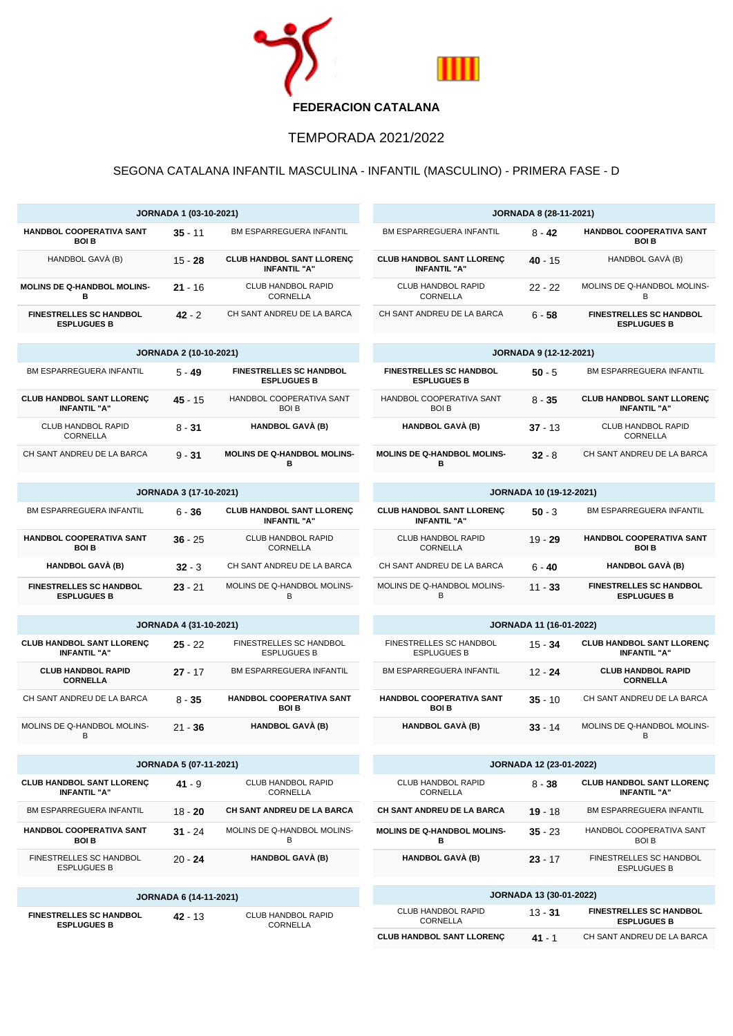

## TEMPORADA 2021/2022

## SEGONA CATALANA INFANTIL MASCULINA - INFANTIL (MASCULINO) - PRIMERA FASE - D

÷

| <b>JORNADA 1 (03-10-2021)</b>                           |                               |                                                         | <b>JORNADA 8 (28-11-2021)</b>                           |                                |                                                         |  |
|---------------------------------------------------------|-------------------------------|---------------------------------------------------------|---------------------------------------------------------|--------------------------------|---------------------------------------------------------|--|
| HANDBOL COOPERATIVA SANT<br><b>BOI B</b>                | $35 - 11$                     | BM ESPARREGUERA INFANTIL                                | <b>BM ESPARREGUERA INFANTIL</b>                         | $8 - 42$                       | HANDBOL COOPERATIVA SANT<br><b>BOI B</b>                |  |
| HANDBOL GAVÀ (B)                                        | $15 - 28$                     | <b>CLUB HANDBOL SANT LLORENÇ</b><br><b>INFANTIL "A"</b> | <b>CLUB HANDBOL SANT LLORENÇ</b><br><b>INFANTIL "A"</b> | 40 - 15                        | HANDBOL GAVÀ (B)                                        |  |
| MOLINS DE Q-HANDBOL MOLINS-<br>в                        | $21 - 16$                     | <b>CLUB HANDBOL RAPID</b><br><b>CORNELLA</b>            | <b>CLUB HANDBOL RAPID</b><br><b>CORNELLA</b>            | $22 - 22$                      | MOLINS DE Q-HANDBOL MOLINS-<br>В                        |  |
| <b>FINESTRELLES SC HANDBOL</b><br><b>ESPLUGUES B</b>    | $42 - 2$                      | CH SANT ANDREU DE LA BARCA                              | CH SANT ANDREU DE LA BARCA                              | $6 - 58$                       | <b>FINESTRELLES SC HANDBOL</b><br><b>ESPLUGUES B</b>    |  |
| <b>JORNADA 2 (10-10-2021)</b>                           |                               |                                                         | <b>JORNADA 9 (12-12-2021)</b>                           |                                |                                                         |  |
| BM ESPARREGUERA INFANTIL                                | $5 - 49$                      | <b>FINESTRELLES SC HANDBOL</b><br><b>ESPLUGUES B</b>    | <b>FINESTRELLES SC HANDBOL</b><br><b>ESPLUGUES B</b>    | $50 - 5$                       | <b>BM ESPARREGUERA INFANTIL</b>                         |  |
| <b>CLUB HANDBOL SANT LLORENÇ</b><br><b>INFANTIL "A"</b> | $45 - 15$                     | HANDBOL COOPERATIVA SANT<br><b>BOI B</b>                | HANDBOL COOPERATIVA SANT<br><b>BOIB</b>                 | $8 - 35$                       | <b>CLUB HANDBOL SANT LLORENÇ</b><br><b>INFANTIL "A"</b> |  |
| <b>CLUB HANDBOL RAPID</b><br>CORNELLA                   | $8 - 31$                      | <b>HANDBOL GAVÀ (B)</b>                                 | HANDBOL GAVÀ (B)                                        | $37 - 13$                      | <b>CLUB HANDBOL RAPID</b><br>CORNELLA                   |  |
| CH SANT ANDREU DE LA BARCA                              | $9 - 31$                      | <b>MOLINS DE Q-HANDBOL MOLINS-</b><br>в                 | <b>MOLINS DE Q-HANDBOL MOLINS-</b><br>в                 | $32 - 8$                       | CH SANT ANDREU DE LA BARCA                              |  |
| <b>JORNADA 3 (17-10-2021)</b>                           |                               |                                                         | <b>JORNADA 10 (19-12-2021)</b>                          |                                |                                                         |  |
| BM ESPARREGUERA INFANTIL                                | $6 - 36$                      | <b>CLUB HANDBOL SANT LLORENC</b><br><b>INFANTIL "A"</b> | <b>CLUB HANDBOL SANT LLORENÇ</b><br><b>INFANTIL "A"</b> | $50 - 3$                       | BM ESPARREGUERA INFANTIL                                |  |
| HANDBOL COOPERATIVA SANT<br><b>BOI B</b>                | $36 - 25$                     | <b>CLUB HANDBOL RAPID</b><br>CORNELLA                   | CLUB HANDBOL RAPID<br>CORNELLA                          | $19 - 29$                      | HANDBOL COOPERATIVA SANT<br><b>BOI B</b>                |  |
| HANDBOL GAVÀ (B)                                        | $32 - 3$                      | CH SANT ANDREU DE LA BARCA                              | CH SANT ANDREU DE LA BARCA                              | 6 - 40                         | HANDBOL GAVÀ (B)                                        |  |
| <b>FINESTRELLES SC HANDBOL</b><br><b>ESPLUGUES B</b>    | $23 - 21$                     | MOLINS DE Q-HANDBOL MOLINS-<br>B                        | MOLINS DE Q-HANDBOL MOLINS-<br>B                        | $11 - 33$                      | <b>FINESTRELLES SC HANDBOL</b><br><b>ESPLUGUES B</b>    |  |
|                                                         |                               |                                                         |                                                         |                                |                                                         |  |
|                                                         | <b>JORNADA 4 (31-10-2021)</b> |                                                         |                                                         | <b>JORNADA 11 (16-01-2022)</b> |                                                         |  |
| <b>CLUB HANDBOL SANT LLORENÇ</b><br><b>INFANTIL "A"</b> | $25 - 22$                     | FINESTRELLES SC HANDBOL<br><b>ESPLUGUES B</b>           | FINESTRELLES SC HANDBOL<br><b>ESPLUGUES B</b>           | $15 - 34$                      | <b>CLUB HANDBOL SANT LLORENÇ</b><br><b>INFANTIL "A"</b> |  |
| <b>CLUB HANDBOL RAPID</b><br><b>CORNELLA</b>            | $27 - 17$                     | BM ESPARREGUERA INFANTIL                                | BM ESPARREGUERA INFANTIL                                | $12 - 24$                      | <b>CLUB HANDBOL RAPID</b><br><b>CORNELLA</b>            |  |
| CH SANT ANDREU DE LA BARCA                              | $8 - 35$                      | HANDBOL COOPERATIVA SANT<br><b>BOI B</b>                | HANDBOL COOPERATIVA SANT<br><b>BOIB</b>                 | $35 - 10$                      | CH SANT ANDREU DE LA BARCA                              |  |
| MOLINS DE Q-HANDBOL MOLINS-<br>В                        | $21 - 36$                     | <b>HANDBOL GAVÀ (B)</b>                                 | <b>HANDBOL GAVÀ (B)</b>                                 | $33 - 14$                      | MOLINS DE Q-HANDBOL MOLINS-<br>В                        |  |
| <b>JORNADA 5 (07-11-2021)</b>                           |                               |                                                         | JORNADA 12 (23-01-2022)                                 |                                |                                                         |  |
| <b>CLUB HANDBOL SANT LLORENÇ</b><br><b>INFANTIL "A"</b> | $41 - 9$                      | CLUB HANDBOL RAPID<br>CORNELLA                          | CLUB HANDBOL RAPID<br>CORNELLA                          | $8 - 38$                       | <b>CLUB HANDBOL SANT LLORENÇ</b><br><b>INFANTIL "A"</b> |  |
| BM ESPARREGUERA INFANTIL                                | $18 - 20$                     | CH SANT ANDREU DE LA BARCA                              | CH SANT ANDREU DE LA BARCA                              | $19 - 18$                      | BM ESPARREGUERA INFANTIL                                |  |
| HANDBOL COOPERATIVA SANT<br><b>BOI B</b>                | $31 - 24$                     | MOLINS DE Q-HANDBOL MOLINS-<br>В                        | <b>MOLINS DE Q-HANDBOL MOLINS-</b><br>в                 | $35 - 23$                      | HANDBOL COOPERATIVA SANT<br><b>BOI B</b>                |  |
| FINESTRELLES SC HANDBOL<br><b>ESPLUGUES B</b>           | $20 - 24$                     | <b>HANDBOL GAVÀ (B)</b>                                 | <b>HANDBOL GAVÀ (B)</b>                                 | $23 - 17$                      | FINESTRELLES SC HANDBOL<br><b>ESPLUGUES B</b>           |  |
| <b>JORNADA 6 (14-11-2021)</b>                           |                               | <b>JORNADA 13 (30-01-2022)</b>                          |                                                         |                                |                                                         |  |
| <b>FINESTRELLES SC HANDBOL</b>                          | 42 - 13                       | CLUB HANDBOL RAPID<br>CORNELLA                          | CLUB HANDBOL RAPID<br>CORNELLA                          | $13 - 31$                      | <b>FINESTRELLES SC HANDBOL</b><br><b>ESPLUGUES B</b>    |  |
| <b>ESPLUGUES B</b>                                      |                               |                                                         | <b>CLUB HANDBOL SANT LLORENÇ</b>                        | $41 - 1$                       | CH SANT ANDREU DE LA BARCA                              |  |